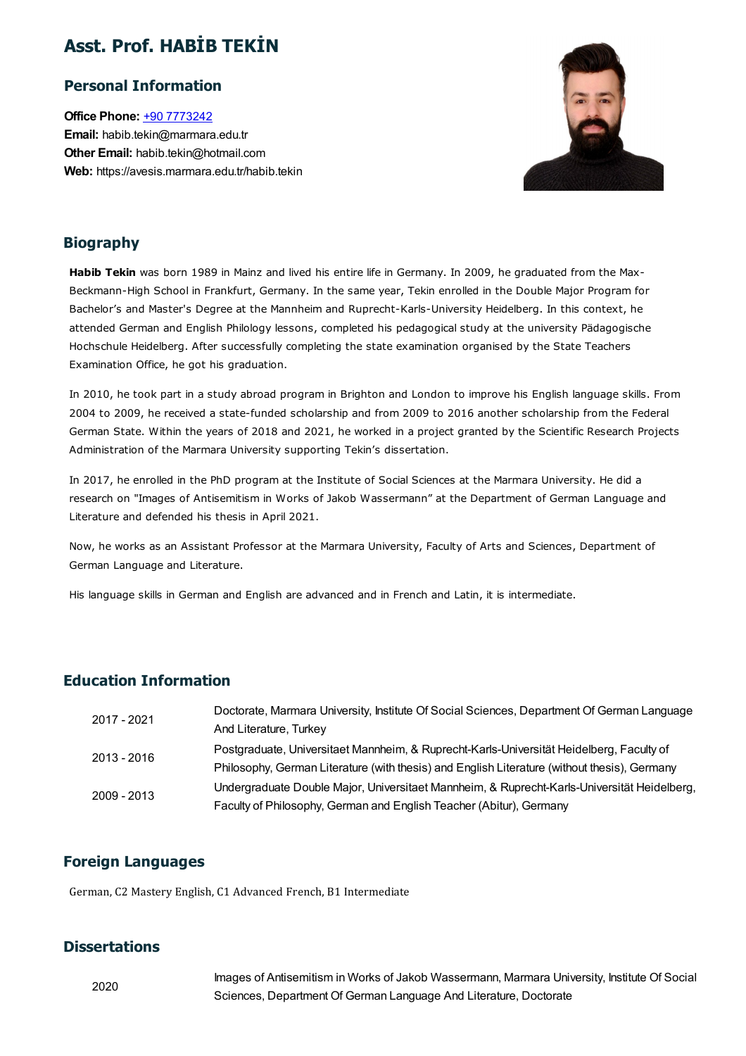## Asst. Prof. HABİB TEKİN

## Personal Information

Office Phone: +90 [7773242](tel:+90 7773242) Email: habib.tekin@marmara.edu.tr Other Email: habib.tekin@hotmail.com Web: https://avesis.marmara.edu.tr/habib.tekin



## Biography

Habib Tekin was born 1989 in Mainz and lived his entire life in Germany. In 2009, he graduated from the Max-Beckmann-High School in Frankfurt, Germany. In the same year, Tekin enrolled in the Double Major Program for Bachelor's and Master's Degree at the Mannheim and Ruprecht-Karls-University Heidelberg. In this context, he attended German and English Philology lessons, completed his pedagogical study at the university Pädagogische Hochschule Heidelberg. After successfully completing the state examination organised by the State Teachers Examination Office, he got his graduation.

In 2010, he took part in a study abroad program in Brighton and London to improve his English language skills. From 2004 to 2009, he received a state-funded scholarship and from 2009 to 2016 another scholarship from the Federal German State. Within the years of 2018 and 2021, he worked in a project granted by the Scientific Research Projects Administration of the Marmara University supporting Tekin's dissertation.

In 2017, he enrolled in the PhD program at the Institute of Social Sciences at the Marmara University. He did a research on "Images of Antisemitism in Works of Jakob Wassermann" at the Department of German Language and Literature and defended his thesis in April 2021.

Now, he works as an Assistant Professor at the Marmara University, Faculty of Arts and Sciences, Department of German Language and Literature.

His language skills in German and English are advanced and in French and Latin, it is intermediate.

## Education Information

| 2017 - 2021 | Doctorate, Marmara University, Institute Of Social Sciences, Department Of German Language   |
|-------------|----------------------------------------------------------------------------------------------|
|             | And Literature, Turkey                                                                       |
| 2013 - 2016 | Postgraduate, Universitaet Mannheim, & Ruprecht-Karls-Universität Heidelberg, Faculty of     |
|             | Philosophy, German Literature (with thesis) and English Literature (without thesis), Germany |
| 2009 - 2013 | Undergraduate Double Major, Universitaet Mannheim, & Ruprecht-Karls-Universität Heidelberg,  |
|             | Faculty of Philosophy, German and English Teacher (Abitur), Germany                          |

## Foreign Languages

German, C2 Mastery English, C1 Advanced French, B1 Intermediate

### **Dissertations**

Images of Antisemitism in Works of Jakob Wassermann, Marmara University, Institute Of Social Sciences, Department Of German Language And Literature, Doctorate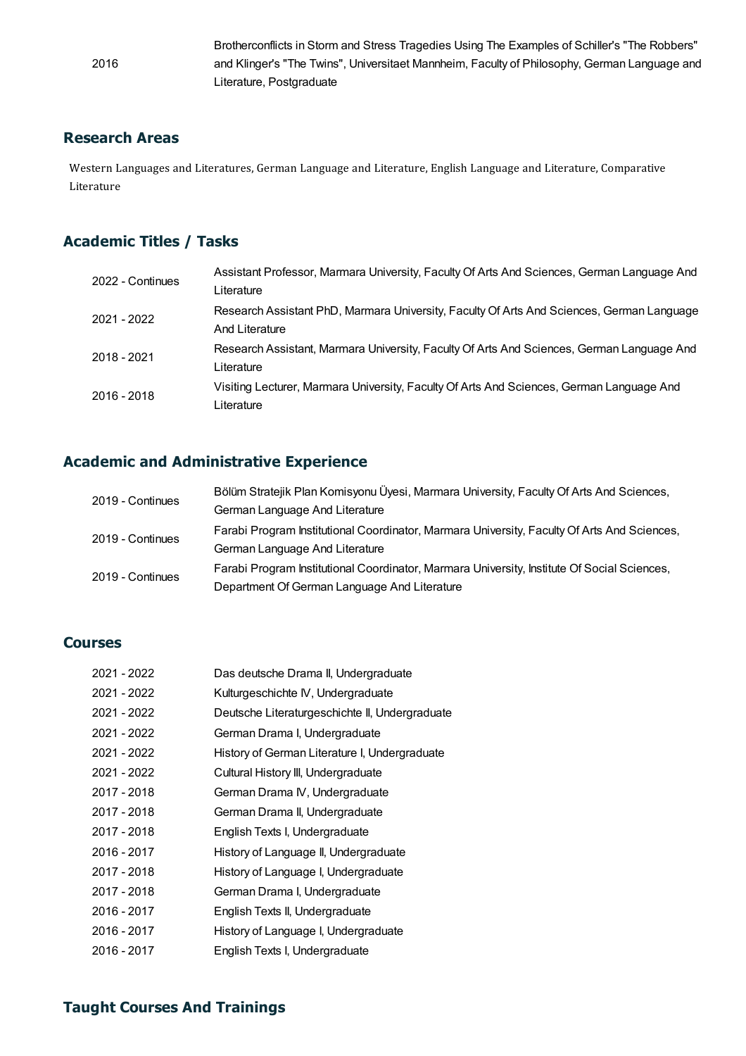Brotherconflicts in Storm and Stress Tragedies Using The Examples of Schiller's "The Robbers" and Klinger's "The Twins", Universitaet Mannheim, Faculty of Philosophy, German Language and Literature, Postgraduate

### Research Areas

2016

**lesearch Areas**<br>Western Languages and Literatures, German Language and Literature, English Language and Literature, Comparative<br>Literature **Literature**<br>Literature<br>Literature

## Academic Titles / Tasks

| 2022 - Continues | Assistant Professor, Marmara University, Faculty Of Arts And Sciences, German Language And<br>Literature    |
|------------------|-------------------------------------------------------------------------------------------------------------|
| 2021 - 2022      | Research Assistant PhD, Marmara University, Faculty Of Arts And Sciences, German Language<br>And Literature |
| 2018 - 2021      | Research Assistant, Marmara University, Faculty Of Arts And Sciences, German Language And<br>Literature     |
| 2016 - 2018      | Visiting Lecturer, Marmara University, Faculty Of Arts And Sciences, German Language And<br>Literature      |

## Academic and Administrative Experience

| 2019 - Continues | Bölüm Stratejik Plan Komisyonu Üyesi, Marmara University, Faculty Of Arts And Sciences,     |
|------------------|---------------------------------------------------------------------------------------------|
|                  | German Language And Literature                                                              |
| 2019 - Continues | Farabi Program Institutional Coordinator, Marmara University, Faculty Of Arts And Sciences, |
|                  | German Language And Literature                                                              |
| 2019 - Continues | Farabi Program Institutional Coordinator, Marmara University, Institute Of Social Sciences, |
|                  | Department Of German Language And Literature                                                |

#### Courses

| 2021 - 2022 | Das deutsche Drama II, Undergraduate           |
|-------------|------------------------------------------------|
| 2021 - 2022 | Kulturgeschichte IV, Undergraduate             |
| 2021 - 2022 | Deutsche Literaturgeschichte II, Undergraduate |
| 2021 - 2022 | German Drama I, Undergraduate                  |
| 2021 - 2022 | History of German Literature I, Undergraduate  |
| 2021 - 2022 | Cultural History III, Undergraduate            |
| 2017 - 2018 | German Drama IV, Undergraduate                 |
| 2017 - 2018 | German Drama II, Undergraduate                 |
| 2017 - 2018 | English Texts I, Undergraduate                 |
| 2016 - 2017 | History of Language II, Undergraduate          |
| 2017 - 2018 | History of Language I, Undergraduate           |
| 2017 - 2018 | German Drama I, Undergraduate                  |
| 2016 - 2017 | English Texts II, Undergraduate                |
| 2016 - 2017 | History of Language I, Undergraduate           |
| 2016 - 2017 | English Texts I, Undergraduate                 |

## Taught Courses And Trainings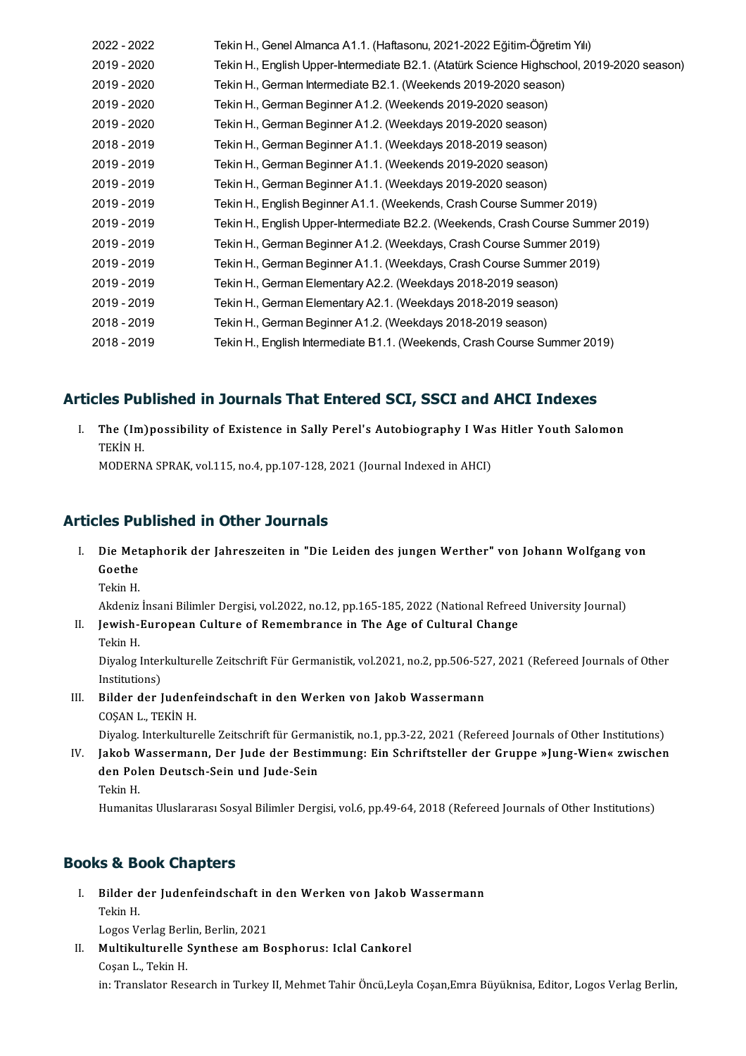| 2022 - 2022 | Tekin H., Genel Almanca A1.1. (Haftasonu, 2021-2022 Eğitim-Öğretim Yılı)                  |
|-------------|-------------------------------------------------------------------------------------------|
| 2019 - 2020 | Tekin H., English Upper-Intermediate B2.1. (Atatürk Science Highschool, 2019-2020 season) |
| 2019 - 2020 | Tekin H., German Intermediate B2.1. (Weekends 2019-2020 season)                           |
| 2019 - 2020 | Tekin H., German Beginner A1.2. (Weekends 2019-2020 season)                               |
| 2019 - 2020 | Tekin H., German Beginner A1.2. (Weekdays 2019-2020 season)                               |
| 2018 - 2019 | Tekin H., German Beginner A1.1. (Weekdays 2018-2019 season)                               |
| 2019 - 2019 | Tekin H., German Beginner A1.1. (Weekends 2019-2020 season)                               |
| 2019 - 2019 | Tekin H., German Beginner A1.1. (Weekdays 2019-2020 season)                               |
| 2019 - 2019 | Tekin H., English Beginner A1.1. (Weekends, Crash Course Summer 2019)                     |
| 2019 - 2019 | Tekin H., English Upper-Intermediate B2.2. (Weekends, Crash Course Summer 2019)           |
| 2019 - 2019 | Tekin H., German Beginner A1.2. (Weekdays, Crash Course Summer 2019)                      |
| 2019 - 2019 | Tekin H., German Beginner A1.1. (Weekdays, Crash Course Summer 2019)                      |
| 2019 - 2019 | Tekin H., German Elementary A2.2. (Weekdays 2018-2019 season)                             |
| 2019 - 2019 | Tekin H., German Elementary A2.1. (Weekdays 2018-2019 season)                             |
| 2018 - 2019 | Tekin H., German Beginner A1.2. (Weekdays 2018-2019 season)                               |
| 2018 - 2019 | Tekin H., English Intermediate B1.1. (Weekends, Crash Course Summer 2019)                 |

Articles Published in Journals That Entered SCI, SSCI and AHCI Indexes<br>I. The (Im)possibility of Existence in Sally Perel's Autobiography I Was Hitler Youth Salomon I. The (Im) possibility of Existence in Sally Perel's Autobiography I Was Hitler Youth Salomon TEKIN H.

MODERNASPRAK,vol.115,no.4,pp.107-128,2021(Journal IndexedinAHCI)

## Articles Published in Other Journals

- ticles Published in Other Journals<br>I. Die Metaphorik der Jahreszeiten in "Die Leiden des jungen Werther" von Johann Wolfgang von<br>Ceethe **CS Full**<br>Die Met<br>Goethe<br><sup>Tokin H</sup> Di<mark>e Met</mark><br>Goethe<br>Tekin H. G<mark>oethe</mark><br>Tekin H.<br>Akdeniz İnsani Bilimler Dergisi, vol.2022, no.12, pp.165-185, 2022 (National Refreed University Journal)<br>Joujich Euronean Culture of Bomembranes in The Age of Cultural Change
	-

Tekin H.<br>Akdeniz İnsani Bilimler Dergisi, vol.2022, no.12, pp.165-185, 2022 (National Refree<br>II. Jewish-European Culture of Remembrance in The Age of Cultural Change<br>Tekin H. Akdeniz<br>J<mark>ewish-</mark><br>Tekin H.<br>Divelog l

Diyalog Interkulturelle Zeitschrift Für Germanistik, vol.2021, no.2, pp.506-527, 2021 (Refereed Journals of Other Institutions)

III. Bilder der Judenfeindschaft in den Werken von Jakob Wassermann COŞANL.,TEKİNH.

Diyalog. Interkulturelle Zeitschrift für Germanistik, no.1, pp.3-22, 2021 (Refereed Journals of Other Institutions)

COȘAN L., TEKİN H.<br>Diyalog. Interkulturelle Zeitschrift für Germanistik, no.1, pp.3-22, 2021 (Refereed Journals of Other Institutions)<br>IV. Jakob Wassermann, Der Jude der Bestimmung: Ein Schriftsteller der Gruppe »Jung-Wien Diyalog. Interkulturelle Zeitschrift für Germa<br>Jakob Wassermann, Der Jude der Besti<br>den Polen Deutsch-Sein und Jude-Sein<br>Tekin H Jakob <mark>W</mark><br>den Pol<br>Tekin H.<br><sup>Humanit</sup> den Polen Deutsch-Sein und Jude-Sein<br>Tekin H.<br>Humanitas Uluslararası Sosyal Bilimler Dergisi, vol.6, pp.49-64, 2018 (Refereed Journals of Other Institutions)

## Books & Book Chapters

- **ooks & Book Chapters**<br>I. Bilder der Judenfeindschaft in den Werken von Jakob Wassermann<br>Tekin H  $Bilder$ <br> $Tekin H.$ Bilder der Judenfeindschaft in<br>Tekin H.<br>Logos Verlag Berlin, Berlin, 2021<br>Multikulturelle Synthess am B Tekin H.<br>Logos Verlag Berlin, Berlin, 2021<br>II. Multikulturelle Synthese am Bosphorus: Iclal Cankorel<br>Cesan L. Tekin H
- Logos Verlag Berl<br>**Multikulturelle :<br>Coşan L., Tekin H.**<br>in: Trensktar Bes Coşan L., Tekin H.<br>in: Translator Research in Turkey II, Mehmet Tahir Öncü,Leyla Coşan,Emra Büyüknisa, Editor, Logos Verlag Berlin,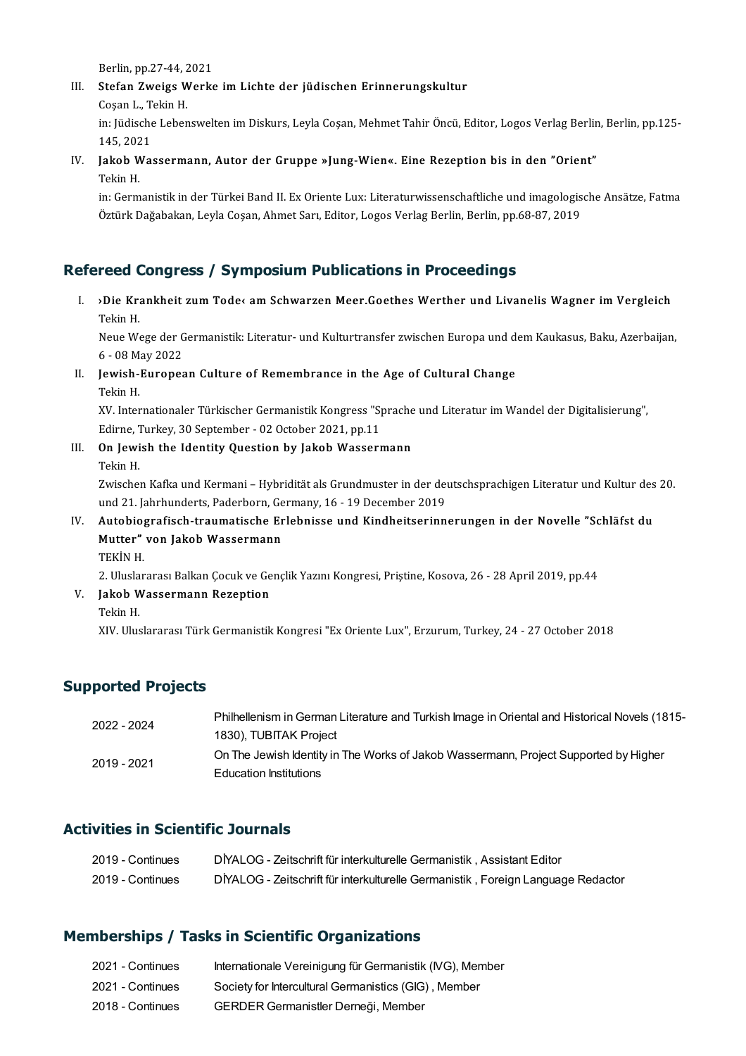Berlin, pp.27-44, 2021<br>Stafan Zueiss Warks

## III. Stefan Zweigs Werke im Lichte der jüdischen Erinnerungskultur Cosan L., Tekin H. Berlin, pp.27-44, 2<br><mark>Stefan Zweigs W</mark><br>Coşan L., Tekin H.<br>in: Fidische Leben

Stefan Zweigs Werke im Lichte der jüdischen Erinnerungskultur<br>Coşan L., Tekin H.<br>in: Jüdische Lebenswelten im Diskurs, Leyla Coşan, Mehmet Tahir Öncü, Editor, Logos Verlag Berlin, Berlin, pp.125-<br>145-2021 Coşan L., T<br>in: Jüdische<br>145, 2021<br>Jakob Wa In: Jüdische Lebenswelten im Diskurs, Leyla Coşan, Mehmet Tahir Öncü, Editor, Logos Verlag Berlir<br>145, 2021<br>IV. Jakob Wassermann, Autor der Gruppe »Jung-Wien«. Eine Rezeption bis in den "Orient"<br>Tekin H

145, 202<br>Jakob W<br>Tekin H.<br>in: Corm

Tekin H.<br>in: Germanistik in der Türkei Band II. Ex Oriente Lux: Literaturwissenschaftliche und imagologische Ansätze, Fatma Öztürk Dağabakan, Leyla Coşan, Ahmet Sarı, Editor, Logos Verlag Berlin, Berlin, pp.68-87, 2019

## Refereed Congress / Symposium Publications in Proceedings

I. ›Die Krankheit zumTode‹ amSchwarzenMeer.GoethesWerther und LivanelisWagner imVergleich  $\overrightarrow{DE}$ <br> $\overrightarrow{DE}$  Kra<br>Tekin H. »Die Krankheit zum Tode« am Schwarzen Meer.Goethes Werther und Livanelis Wagner im Vergleich<br>Tekin H.<br>Neue Wege der Germanistik: Literatur- und Kulturtransfer zwischen Europa und dem Kaukasus, Baku, Azerbaijan,<br>6 - 08 Mar

Tekin H.<br>Neue Wege der Germanistik: Literatur- und Kulturtransfer zwischen Europa und dem Kaukasus, Baku, Azerbaijan,<br>6 - 08 Mav 2022 Neue Wege der Germanistik: Literatur- und Kulturtransfer zwischen Europa und de<br>6 - 08 May 2022<br>II. Jewish-European Culture of Remembrance in the Age of Cultural Change<br>Teltin H

# 6 - 08 M<br>Jewish-<br>Tekin H.<br><sup>YV.</sup> Inter

Jewish-European Culture of Remembrance in the Age of Cultural Change<br>Tekin H.<br>XV. Internationaler Türkischer Germanistik Kongress "Sprache und Literatur im Wandel der Digitalisierung",<br>Edinne Turkey, 20 September, 02 Osteb Tekin H.<br>XV. Internationaler Türkischer Germanistik Kongress "S<sub>l</sub><br>Edirne, Turkey, 30 September - 02 October 2021, pp.11<br>On Joujish the Identity Question by Jokeh Wesserv XV. Internationaler Türkischer Germanistik Kongress "Sprache<br>Edirne, Turkey, 30 September - 02 October 2021, pp.11<br>III. On Jewish the Identity Question by Jakob Wassermann<br>Tekin H

# Edirne, <mark>1</mark><br>**On Jewi**<br>Tekin H.<br>Zwischer

On Jewish the Identity Question by Jakob Wassermann<br>Tekin H.<br>Zwischen Kafka und Kermani – Hybridität als Grundmuster in der deutschsprachigen Literatur und Kultur des 20.<br>und 21. Jahrhunderts Paderbern, Germany 16, 19 Dese Tekin H.<br>Zwischen Kafka und Kermani – Hybridität als Grundmuster in der der<br>und 21. Jahrhunderts, Paderborn, Germany, 16 - 19 December 2019<br>Autobiografisch, traumatische Erlebnisse und Kindbeitserinn Zwischen Kafka und Kermani – Hybridität als Grundmuster in der deutschsprachigen Literatur und Kultur des und 21. Jahrhunderts, Paderborn, Germany, 16 - 19 December 2019<br>IV. Autobiografisch-traumatische Erlebnisse und Kind

## und 21. Jahrhunderts, Paderborn, Germany, 16 - 19 December 2019<br>Autobiografisch-traumatische Erlebnisse und Kindheitserinn<br>Mutter" von Jakob Wassermann<br>TEKİN H. Autobio<sub>l</sub><br>Mutter"<br>TEKİN H. Mutter" von Jakob Wassermann<br>TEKİN H.<br>2. Uluslararası Balkan Çocuk ve Gençlik Yazını Kongresi, Priştine, Kosova, 26 - 28 April 2019, pp.44<br>Jakob Wassermann Bazantian

V. Jakob Wassermann Rezeption<br>Tekin H. 2. Ulusla<br><mark>Jakob W</mark><br>Tekin H.<br>YW The

XIV.UluslararasıTürkGermanistikKongresi "ExOriente Lux",Erzurum,Turkey,24-27October 2018

## Supported Projects

| 2022 - 2024 | Philhellenism in German Literature and Turkish Image in Oriental and Historical Novels (1815- |
|-------------|-----------------------------------------------------------------------------------------------|
|             | 1830), TUBITAK Project                                                                        |
| 2019 - 2021 | On The Jewish Identity in The Works of Jakob Wassermann, Project Supported by Higher          |
|             | <b>Education Institutions</b>                                                                 |

## Activities in Scientific Journals

| 2019 - Continues | DİYALOG - Zeitschrift für interkulturelle Germanistik, Assistant Editor          |
|------------------|----------------------------------------------------------------------------------|
| 2019 - Continues | DİYALOG - Zeitschrift für interkulturelle Germanistik, Foreign Language Redactor |

## Memberships / Tasks in Scientific Organizations

| 2021 - Continues | Internationale Vereinigung für Germanistik (IVG), Member |
|------------------|----------------------------------------------------------|
| 2021 - Continues | Society for Intercultural Germanistics (GIG), Member     |
| 2018 - Continues | GERDER Germanistler Derneği, Member                      |